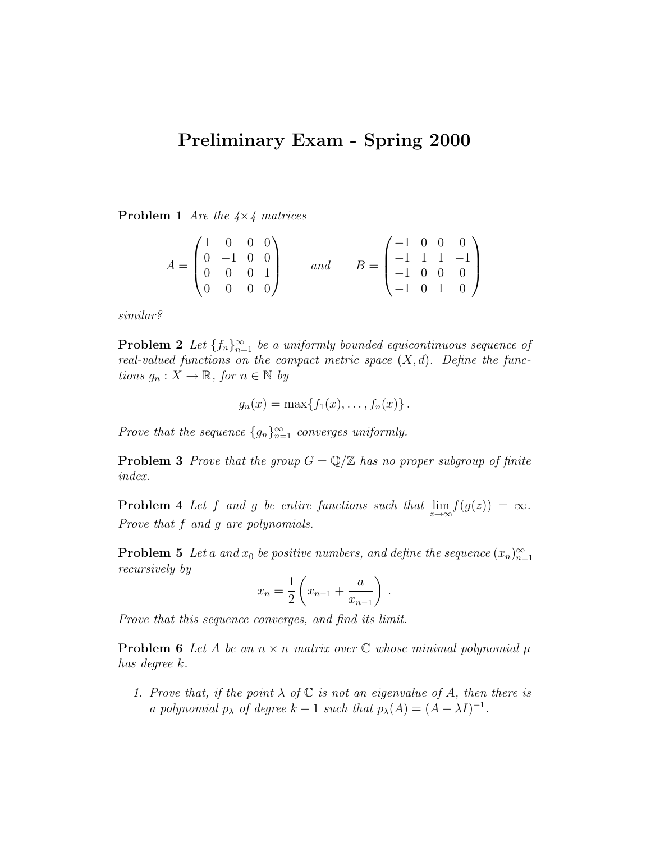## Preliminary Exam - Spring 2000

**Problem 1** Are the  $4 \times 4$  matrices

$$
A = \begin{pmatrix} 1 & 0 & 0 & 0 \\ 0 & -1 & 0 & 0 \\ 0 & 0 & 0 & 1 \\ 0 & 0 & 0 & 0 \end{pmatrix} \qquad and \qquad B = \begin{pmatrix} -1 & 0 & 0 & 0 \\ -1 & 1 & 1 & -1 \\ -1 & 0 & 0 & 0 \\ -1 & 0 & 1 & 0 \end{pmatrix}
$$

similar?

**Problem 2** Let  $\{f_n\}_{n=1}^{\infty}$  be a uniformly bounded equicontinuous sequence of real-valued functions on the compact metric space  $(X, d)$ . Define the functions  $g_n: X \to \mathbb{R}$ , for  $n \in \mathbb{N}$  by

$$
g_n(x) = \max\{f_1(x), \ldots, f_n(x)\}.
$$

Prove that the sequence  ${g_n}_{n=1}^{\infty}$  converges uniformly.

**Problem 3** Prove that the group  $G = \mathbb{Q}/\mathbb{Z}$  has no proper subgroup of finite index.

**Problem 4** Let f and g be entire functions such that  $\lim_{z \to \infty} f(g(z)) = \infty$ . Prove that f and g are polynomials.

**Problem 5** Let a and  $x_0$  be positive numbers, and define the sequence  $(x_n)_{n=1}^{\infty}$ recursively by

$$
x_n = \frac{1}{2} \left( x_{n-1} + \frac{a}{x_{n-1}} \right) .
$$

Prove that this sequence converges, and find its limit.

**Problem 6** Let A be an  $n \times n$  matrix over  $\mathbb C$  whose minimal polynomial  $\mu$ has degree k.

1. Prove that, if the point  $\lambda$  of  $\mathbb C$  is not an eigenvalue of A, then there is a polynomial  $p_{\lambda}$  of degree  $k-1$  such that  $p_{\lambda}(A) = (A - \lambda I)^{-1}$ .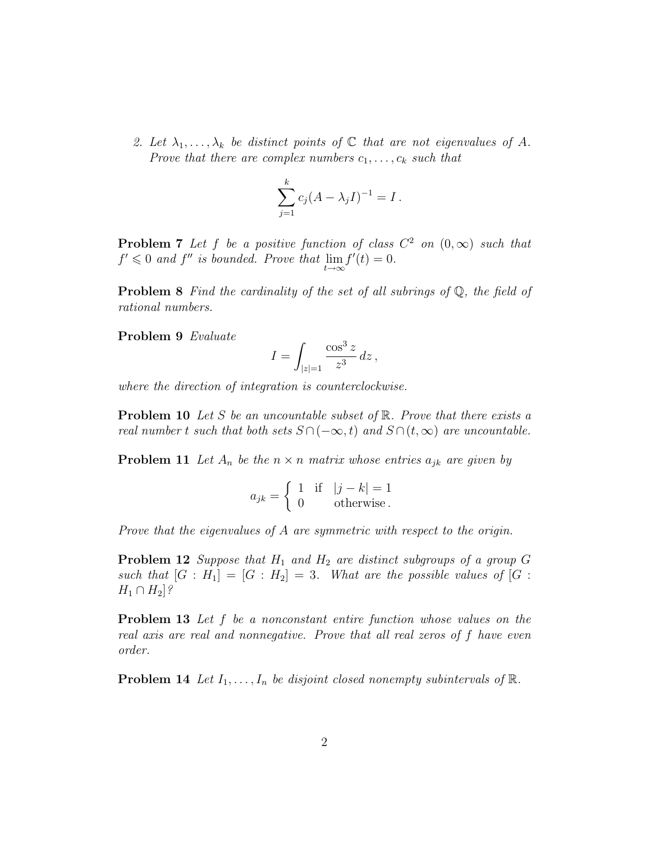2. Let  $\lambda_1, \ldots, \lambda_k$  be distinct points of  $\mathbb C$  that are not eigenvalues of A. Prove that there are complex numbers  $c_1, \ldots, c_k$  such that

$$
\sum_{j=1}^{k} c_j (A - \lambda_j I)^{-1} = I.
$$

**Problem 7** Let f be a positive function of class  $C^2$  on  $(0,\infty)$  such that  $f' \leq 0$  and  $f''$  is bounded. Prove that  $\lim_{t \to \infty} f'(t) = 0$ .

**Problem 8** Find the cardinality of the set of all subrings of  $\mathbb{Q}$ , the field of rational numbers.

Problem 9 Evaluate

$$
I = \int_{|z|=1} \frac{\cos^3 z}{z^3} dz,
$$

where the direction of integration is counterclockwise.

**Problem 10** Let S be an uncountable subset of  $\mathbb{R}$ . Prove that there exists a real number t such that both sets  $S \cap (-\infty, t)$  and  $S \cap (t, \infty)$  are uncountable.

**Problem 11** Let  $A_n$  be the  $n \times n$  matrix whose entries  $a_{jk}$  are given by

$$
a_{jk} = \begin{cases} 1 & \text{if } |j - k| = 1 \\ 0 & \text{otherwise} \end{cases}
$$

Prove that the eigenvalues of A are symmetric with respect to the origin.

**Problem 12** Suppose that  $H_1$  and  $H_2$  are distinct subgroups of a group G such that  $[G : H_1] = [G : H_2] = 3$ . What are the possible values of  $[G : H_1] = [G : H_2] = 3$ .  $H_1 \cap H_2$ ?

Problem 13 Let f be a nonconstant entire function whose values on the real axis are real and nonnegative. Prove that all real zeros of f have even order.

**Problem 14** Let  $I_1, \ldots, I_n$  be disjoint closed nonempty subintervals of  $\mathbb{R}$ .